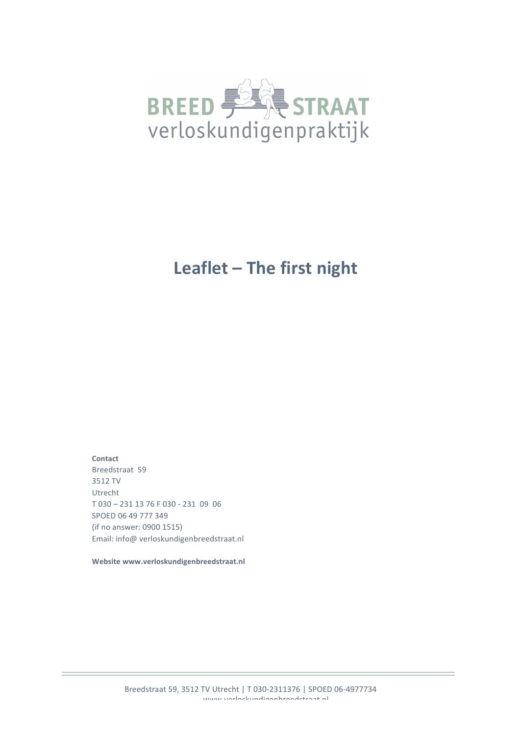

# Leaflet - The first night

**Contact** Breedstraat 59 3512 TV Utrecht T 030 - 231 13 76 F 030 - 231 09 06 SPOED 06 49 777 349 (if no answer: 0900 1515) Email: info@ verloskundigenbreedstraat.nl

Website www.verloskundigenbreedstraat.nl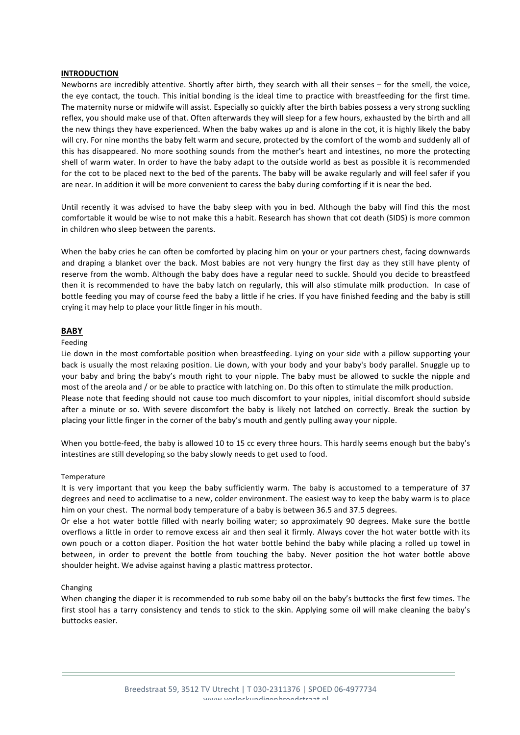## **INTRODUCTION**

Newborns are incredibly attentive. Shortly after birth, they search with all their senses – for the smell, the voice, the eye contact, the touch. This initial bonding is the ideal time to practice with breastfeeding for the first time. The maternity nurse or midwife will assist. Especially so quickly after the birth babies possess a very strong suckling reflex, you should make use of that. Often afterwards they will sleep for a few hours, exhausted by the birth and all the new things they have experienced. When the baby wakes up and is alone in the cot, it is highly likely the baby will cry. For nine months the baby felt warm and secure, protected by the comfort of the womb and suddenly all of this has disappeared. No more soothing sounds from the mother's heart and intestines, no more the protecting shell of warm water. In order to have the baby adapt to the outside world as best as possible it is recommended for the cot to be placed next to the bed of the parents. The baby will be awake regularly and will feel safer if you are near. In addition it will be more convenient to caress the baby during comforting if it is near the bed.

Until recently it was advised to have the baby sleep with you in bed. Although the baby will find this the most comfortable it would be wise to not make this a habit. Research has shown that cot death (SIDS) is more common in children who sleep between the parents.

When the baby cries he can often be comforted by placing him on your or your partners chest, facing downwards and draping a blanket over the back. Most babies are not very hungry the first day as they still have plenty of reserve from the womb. Although the baby does have a regular need to suckle. Should you decide to breastfeed then it is recommended to have the baby latch on regularly, this will also stimulate milk production. In case of bottle feeding you may of course feed the baby a little if he cries. If you have finished feeding and the baby is still crying it may help to place your little finger in his mouth.

# **BABY**

#### Feeding

Lie down in the most comfortable position when breastfeeding. Lying on your side with a pillow supporting your back is usually the most relaxing position. Lie down, with your body and your baby's body parallel. Snuggle up to your baby and bring the baby's mouth right to your nipple. The baby must be allowed to suckle the nipple and most of the areola and / or be able to practice with latching on. Do this often to stimulate the milk production. Please note that feeding should not cause too much discomfort to your nipples, initial discomfort should subside after a minute or so. With severe discomfort the baby is likely not latched on correctly. Break the suction by placing your little finger in the corner of the baby's mouth and gently pulling away your nipple.

When you bottle-feed, the baby is allowed 10 to 15 cc every three hours. This hardly seems enough but the baby's intestines are still developing so the baby slowly needs to get used to food.

### Temperature

It is very important that you keep the baby sufficiently warm. The baby is accustomed to a temperature of 37 degrees and need to acclimatise to a new, colder environment. The easiest way to keep the baby warm is to place him on your chest. The normal body temperature of a baby is between 36.5 and 37.5 degrees.

Or else a hot water bottle filled with nearly boiling water; so approximately 90 degrees. Make sure the bottle overflows a little in order to remove excess air and then seal it firmly. Always cover the hot water bottle with its own pouch or a cotton diaper. Position the hot water bottle behind the baby while placing a rolled up towel in between, in order to prevent the bottle from touching the baby. Never position the hot water bottle above shoulder height. We advise against having a plastic mattress protector.

### Changing

When changing the diaper it is recommended to rub some baby oil on the baby's buttocks the first few times. The first stool has a tarry consistency and tends to stick to the skin. Applying some oil will make cleaning the baby's buttocks easier.